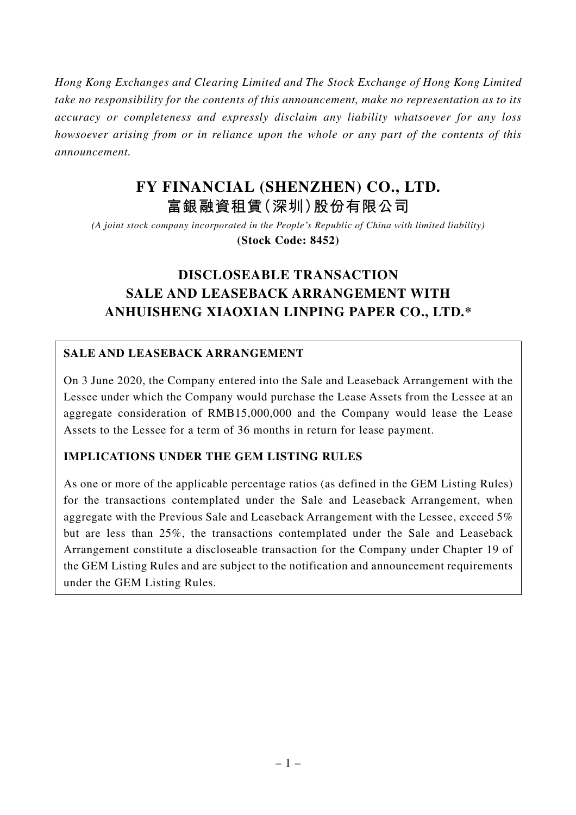*Hong Kong Exchanges and Clearing Limited and The Stock Exchange of Hong Kong Limited take no responsibility for the contents of this announcement, make no representation as to its accuracy or completeness and expressly disclaim any liability whatsoever for any loss howsoever arising from or in reliance upon the whole or any part of the contents of this announcement.*

# **FY FINANCIAL (SHENZHEN) CO., LTD. 富銀融資租賃(深圳)股份有限公司**

*(A joint stock company incorporated in the People's Republic of China with limited liability)* **(Stock Code: 8452)**

# **DISCLOSEABLE TRANSACTION SALE AND LEASEBACK ARRANGEMENT WITH ANHUISHENG XIAOXIAN LINPING PAPER CO., LTD.\***

# **SALE AND LEASEBACK ARRANGEMENT**

On 3 June 2020, the Company entered into the Sale and Leaseback Arrangement with the Lessee under which the Company would purchase the Lease Assets from the Lessee at an aggregate consideration of RMB15,000,000 and the Company would lease the Lease Assets to the Lessee for a term of 36 months in return for lease payment.

## **IMPLICATIONS UNDER THE GEM LISTING RULES**

As one or more of the applicable percentage ratios (as defined in the GEM Listing Rules) for the transactions contemplated under the Sale and Leaseback Arrangement, when aggregate with the Previous Sale and Leaseback Arrangement with the Lessee, exceed 5% but are less than 25%, the transactions contemplated under the Sale and Leaseback Arrangement constitute a discloseable transaction for the Company under Chapter 19 of the GEM Listing Rules and are subject to the notification and announcement requirements under the GEM Listing Rules.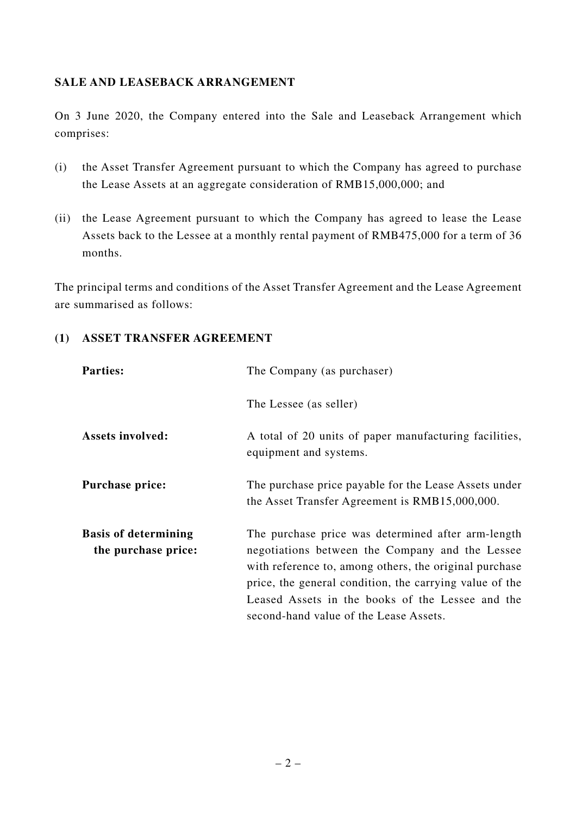### **SALE AND LEASEBACK ARRANGEMENT**

On 3 June 2020, the Company entered into the Sale and Leaseback Arrangement which comprises:

- (i) the Asset Transfer Agreement pursuant to which the Company has agreed to purchase the Lease Assets at an aggregate consideration of RMB15,000,000; and
- (ii) the Lease Agreement pursuant to which the Company has agreed to lease the Lease Assets back to the Lessee at a monthly rental payment of RMB475,000 for a term of 36 months.

The principal terms and conditions of the Asset Transfer Agreement and the Lease Agreement are summarised as follows:

### **(1) ASSET TRANSFER AGREEMENT**

| <b>Parties:</b>                                    | The Company (as purchaser)                                                                                                                                                                                                                                                                                               |
|----------------------------------------------------|--------------------------------------------------------------------------------------------------------------------------------------------------------------------------------------------------------------------------------------------------------------------------------------------------------------------------|
|                                                    | The Lessee (as seller)                                                                                                                                                                                                                                                                                                   |
| <b>Assets involved:</b>                            | A total of 20 units of paper manufacturing facilities,<br>equipment and systems.                                                                                                                                                                                                                                         |
| Purchase price:                                    | The purchase price payable for the Lease Assets under<br>the Asset Transfer Agreement is RMB15,000,000.                                                                                                                                                                                                                  |
| <b>Basis of determining</b><br>the purchase price: | The purchase price was determined after arm-length<br>negotiations between the Company and the Lessee<br>with reference to, among others, the original purchase<br>price, the general condition, the carrying value of the<br>Leased Assets in the books of the Lessee and the<br>second-hand value of the Lease Assets. |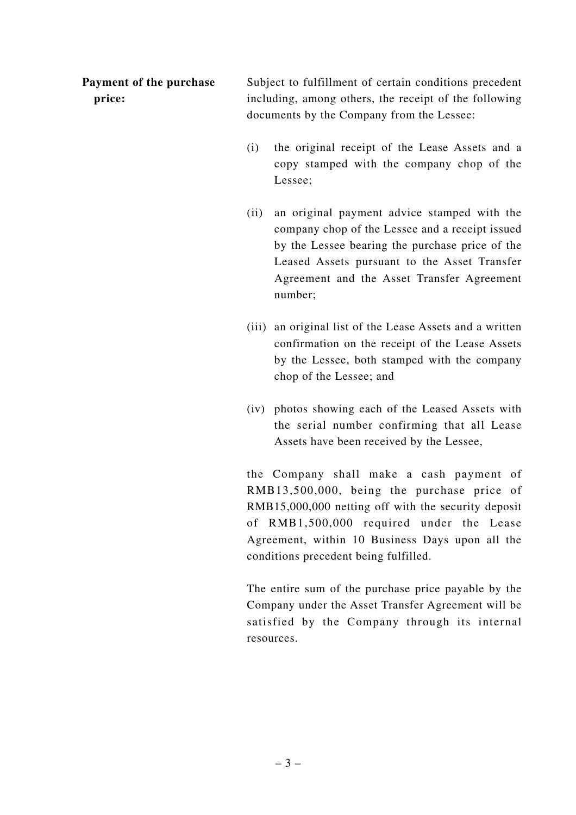**Payment of the purchase price:**

Subject to fulfillment of certain conditions precedent including, among others, the receipt of the following documents by the Company from the Lessee:

- (i) the original receipt of the Lease Assets and a copy stamped with the company chop of the Lessee;
- (ii) an original payment advice stamped with the company chop of the Lessee and a receipt issued by the Lessee bearing the purchase price of the Leased Assets pursuant to the Asset Transfer Agreement and the Asset Transfer Agreement number;
- (iii) an original list of the Lease Assets and a written confirmation on the receipt of the Lease Assets by the Lessee, both stamped with the company chop of the Lessee; and
- (iv) photos showing each of the Leased Assets with the serial number confirming that all Lease Assets have been received by the Lessee,

the Company shall make a cash payment of RMB13,500,000, being the purchase price of RMB15,000,000 netting off with the security deposit of RMB1,500,000 required under the Lease Agreement, within 10 Business Days upon all the conditions precedent being fulfilled.

The entire sum of the purchase price payable by the Company under the Asset Transfer Agreement will be satisfied by the Company through its internal resources.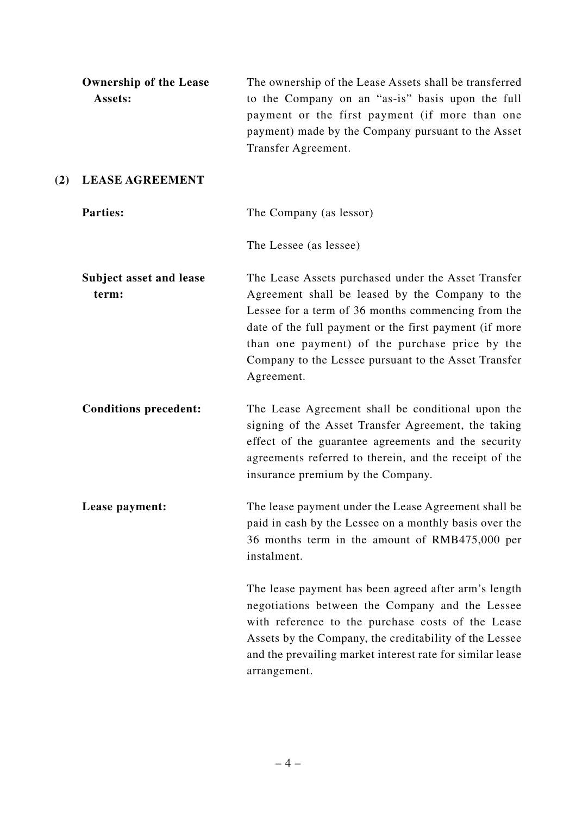|     | <b>Ownership of the Lease</b><br>Assets: | The ownership of the Lease Assets shall be transferred<br>to the Company on an "as-is" basis upon the full<br>payment or the first payment (if more than one<br>payment) made by the Company pursuant to the Asset<br>Transfer Agreement.                                                                                                      |
|-----|------------------------------------------|------------------------------------------------------------------------------------------------------------------------------------------------------------------------------------------------------------------------------------------------------------------------------------------------------------------------------------------------|
| (2) | <b>LEASE AGREEMENT</b>                   |                                                                                                                                                                                                                                                                                                                                                |
|     | <b>Parties:</b>                          | The Company (as lessor)                                                                                                                                                                                                                                                                                                                        |
|     |                                          | The Lessee (as lessee)                                                                                                                                                                                                                                                                                                                         |
|     | <b>Subject asset and lease</b><br>term:  | The Lease Assets purchased under the Asset Transfer<br>Agreement shall be leased by the Company to the<br>Lessee for a term of 36 months commencing from the<br>date of the full payment or the first payment (if more<br>than one payment) of the purchase price by the<br>Company to the Lessee pursuant to the Asset Transfer<br>Agreement. |
|     | <b>Conditions precedent:</b>             | The Lease Agreement shall be conditional upon the<br>signing of the Asset Transfer Agreement, the taking<br>effect of the guarantee agreements and the security<br>agreements referred to therein, and the receipt of the<br>insurance premium by the Company.                                                                                 |
|     | Lease payment:                           | The lease payment under the Lease Agreement shall be<br>paid in cash by the Lessee on a monthly basis over the<br>36 months term in the amount of RMB475,000 per<br>instalment.                                                                                                                                                                |
|     |                                          | The lease payment has been agreed after arm's length<br>negotiations between the Company and the Lessee<br>with reference to the purchase costs of the Lease<br>Assets by the Company, the creditability of the Lessee<br>and the prevailing market interest rate for similar lease<br>arrangement.                                            |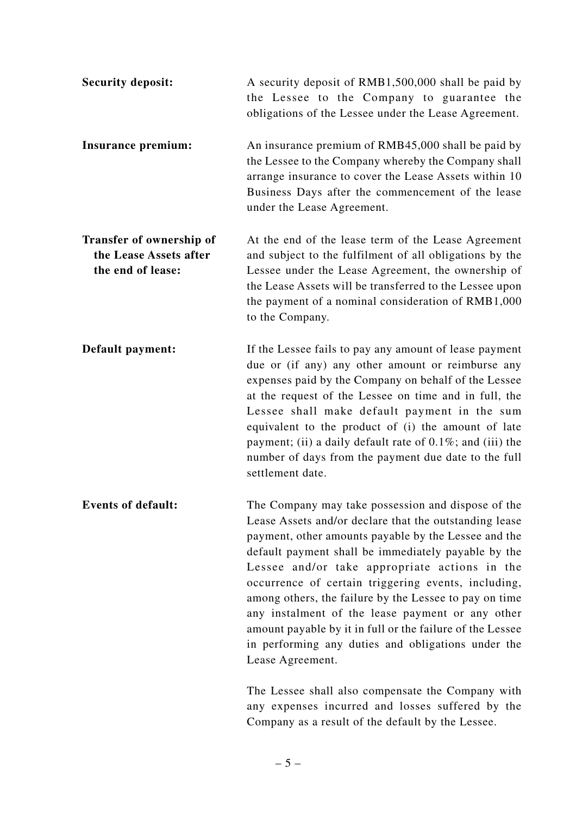| <b>Security deposit:</b>                                                       | A security deposit of RMB1,500,000 shall be paid by<br>the Lessee to the Company to guarantee the<br>obligations of the Lessee under the Lease Agreement.                                                                                                                                                                                                                                                                                                                                                                                                                                                                                     |
|--------------------------------------------------------------------------------|-----------------------------------------------------------------------------------------------------------------------------------------------------------------------------------------------------------------------------------------------------------------------------------------------------------------------------------------------------------------------------------------------------------------------------------------------------------------------------------------------------------------------------------------------------------------------------------------------------------------------------------------------|
| Insurance premium:                                                             | An insurance premium of RMB45,000 shall be paid by<br>the Lessee to the Company whereby the Company shall<br>arrange insurance to cover the Lease Assets within 10<br>Business Days after the commencement of the lease<br>under the Lease Agreement.                                                                                                                                                                                                                                                                                                                                                                                         |
| <b>Transfer of ownership of</b><br>the Lease Assets after<br>the end of lease: | At the end of the lease term of the Lease Agreement<br>and subject to the fulfilment of all obligations by the<br>Lessee under the Lease Agreement, the ownership of<br>the Lease Assets will be transferred to the Lessee upon<br>the payment of a nominal consideration of RMB1,000<br>to the Company.                                                                                                                                                                                                                                                                                                                                      |
| Default payment:                                                               | If the Lessee fails to pay any amount of lease payment<br>due or (if any) any other amount or reimburse any<br>expenses paid by the Company on behalf of the Lessee<br>at the request of the Lessee on time and in full, the<br>Lessee shall make default payment in the sum<br>equivalent to the product of (i) the amount of late<br>payment; (ii) a daily default rate of $0.1\%$ ; and (iii) the<br>number of days from the payment due date to the full<br>settlement date.                                                                                                                                                              |
| <b>Events of default:</b>                                                      | The Company may take possession and dispose of the<br>Lease Assets and/or declare that the outstanding lease<br>payment, other amounts payable by the Lessee and the<br>default payment shall be immediately payable by the<br>Lessee and/or take appropriate actions in the<br>occurrence of certain triggering events, including,<br>among others, the failure by the Lessee to pay on time<br>any instalment of the lease payment or any other<br>amount payable by it in full or the failure of the Lessee<br>in performing any duties and obligations under the<br>Lease Agreement.<br>The Lessee shall also compensate the Company with |
|                                                                                | any expenses incurred and losses suffered by the<br>Company as a result of the default by the Lessee.                                                                                                                                                                                                                                                                                                                                                                                                                                                                                                                                         |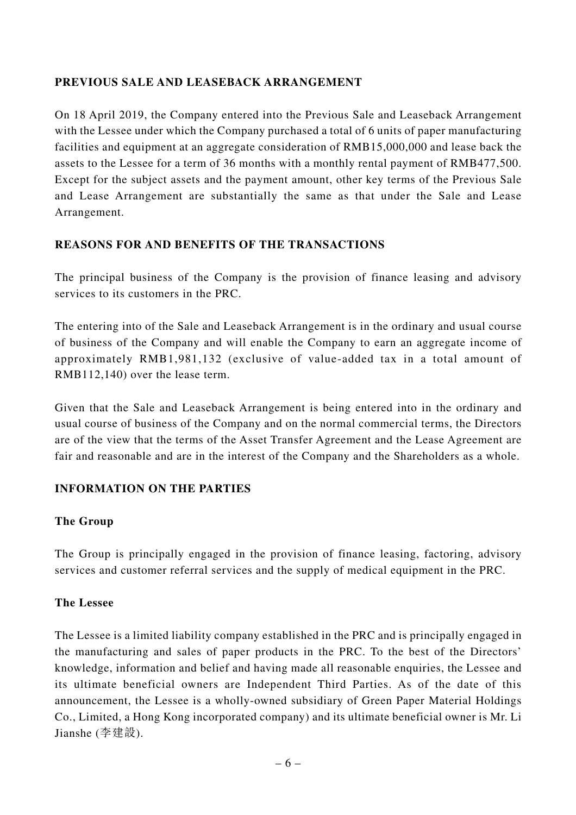## **PREVIOUS SALE AND LEASEBACK ARRANGEMENT**

On 18 April 2019, the Company entered into the Previous Sale and Leaseback Arrangement with the Lessee under which the Company purchased a total of 6 units of paper manufacturing facilities and equipment at an aggregate consideration of RMB15,000,000 and lease back the assets to the Lessee for a term of 36 months with a monthly rental payment of RMB477,500. Except for the subject assets and the payment amount, other key terms of the Previous Sale and Lease Arrangement are substantially the same as that under the Sale and Lease Arrangement.

### **REASONS FOR AND BENEFITS OF THE TRANSACTIONS**

The principal business of the Company is the provision of finance leasing and advisory services to its customers in the PRC.

The entering into of the Sale and Leaseback Arrangement is in the ordinary and usual course of business of the Company and will enable the Company to earn an aggregate income of approximately RMB1,981,132 (exclusive of value-added tax in a total amount of RMB112,140) over the lease term.

Given that the Sale and Leaseback Arrangement is being entered into in the ordinary and usual course of business of the Company and on the normal commercial terms, the Directors are of the view that the terms of the Asset Transfer Agreement and the Lease Agreement are fair and reasonable and are in the interest of the Company and the Shareholders as a whole.

#### **INFORMATION ON THE PARTIES**

#### **The Group**

The Group is principally engaged in the provision of finance leasing, factoring, advisory services and customer referral services and the supply of medical equipment in the PRC.

#### **The Lessee**

The Lessee is a limited liability company established in the PRC and is principally engaged in the manufacturing and sales of paper products in the PRC. To the best of the Directors' knowledge, information and belief and having made all reasonable enquiries, the Lessee and its ultimate beneficial owners are Independent Third Parties. As of the date of this announcement, the Lessee is a wholly-owned subsidiary of Green Paper Material Holdings Co., Limited, a Hong Kong incorporated company) and its ultimate beneficial owner is Mr. Li Jianshe (李建設).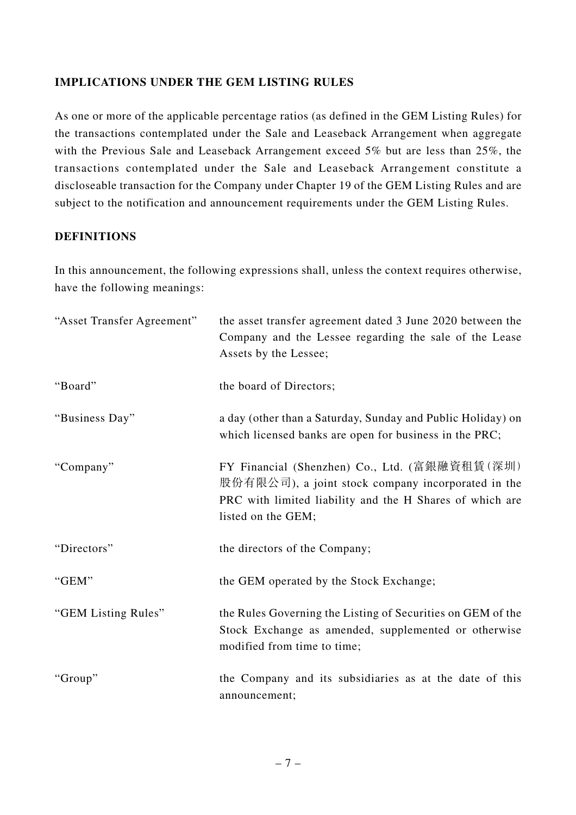### **IMPLICATIONS UNDER THE GEM LISTING RULES**

As one or more of the applicable percentage ratios (as defined in the GEM Listing Rules) for the transactions contemplated under the Sale and Leaseback Arrangement when aggregate with the Previous Sale and Leaseback Arrangement exceed 5% but are less than 25%, the transactions contemplated under the Sale and Leaseback Arrangement constitute a discloseable transaction for the Company under Chapter 19 of the GEM Listing Rules and are subject to the notification and announcement requirements under the GEM Listing Rules.

### **DEFINITIONS**

In this announcement, the following expressions shall, unless the context requires otherwise, have the following meanings:

| "Asset Transfer Agreement" | the asset transfer agreement dated 3 June 2020 between the<br>Company and the Lessee regarding the sale of the Lease<br>Assets by the Lessee;                                         |
|----------------------------|---------------------------------------------------------------------------------------------------------------------------------------------------------------------------------------|
| "Board"                    | the board of Directors;                                                                                                                                                               |
| "Business Day"             | a day (other than a Saturday, Sunday and Public Holiday) on<br>which licensed banks are open for business in the PRC;                                                                 |
| "Company"                  | FY Financial (Shenzhen) Co., Ltd. (富銀融資租賃(深圳)<br>股份有限公司), a joint stock company incorporated in the<br>PRC with limited liability and the H Shares of which are<br>listed on the GEM; |
| "Directors"                | the directors of the Company;                                                                                                                                                         |
| "GEM"                      | the GEM operated by the Stock Exchange;                                                                                                                                               |
| "GEM Listing Rules"        | the Rules Governing the Listing of Securities on GEM of the<br>Stock Exchange as amended, supplemented or otherwise<br>modified from time to time;                                    |
| "Group"                    | the Company and its subsidiaries as at the date of this<br>announcement;                                                                                                              |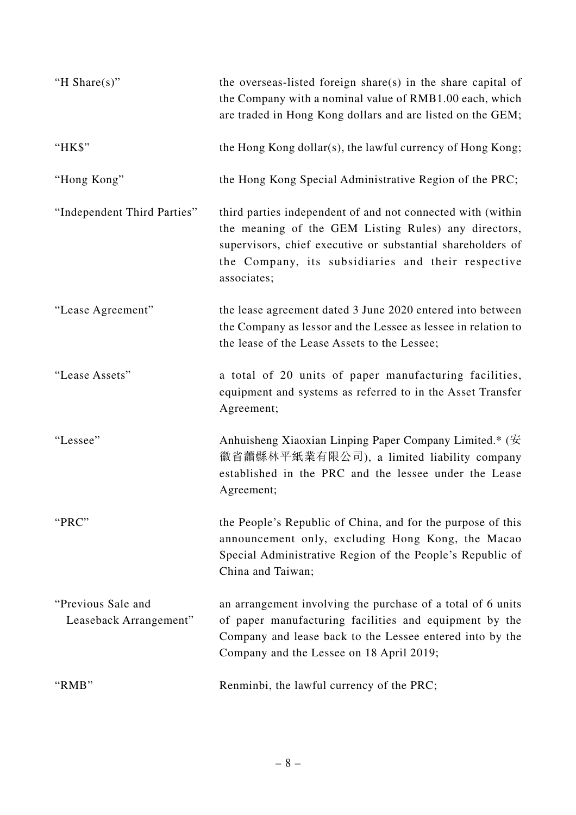| "H Share $(s)$ "                             | the overseas-listed foreign share(s) in the share capital of<br>the Company with a nominal value of RMB1.00 each, which<br>are traded in Hong Kong dollars and are listed on the GEM;                                                                   |
|----------------------------------------------|---------------------------------------------------------------------------------------------------------------------------------------------------------------------------------------------------------------------------------------------------------|
| "HK\$"                                       | the Hong Kong dollar(s), the lawful currency of Hong Kong;                                                                                                                                                                                              |
| "Hong Kong"                                  | the Hong Kong Special Administrative Region of the PRC;                                                                                                                                                                                                 |
| "Independent Third Parties"                  | third parties independent of and not connected with (within<br>the meaning of the GEM Listing Rules) any directors,<br>supervisors, chief executive or substantial shareholders of<br>the Company, its subsidiaries and their respective<br>associates; |
| "Lease Agreement"                            | the lease agreement dated 3 June 2020 entered into between<br>the Company as lessor and the Lessee as lessee in relation to<br>the lease of the Lease Assets to the Lessee;                                                                             |
| "Lease Assets"                               | a total of 20 units of paper manufacturing facilities,<br>equipment and systems as referred to in the Asset Transfer<br>Agreement;                                                                                                                      |
| "Lessee"                                     | Anhuisheng Xiaoxian Linping Paper Company Limited.* (安<br>徽省蕭縣林平紙業有限公司), a limited liability company<br>established in the PRC and the lessee under the Lease<br>Agreement;                                                                             |
| "PRC"                                        | the People's Republic of China, and for the purpose of this<br>announcement only, excluding Hong Kong, the Macao<br>Special Administrative Region of the People's Republic of<br>China and Taiwan;                                                      |
| "Previous Sale and<br>Leaseback Arrangement" | an arrangement involving the purchase of a total of 6 units<br>of paper manufacturing facilities and equipment by the<br>Company and lease back to the Lessee entered into by the<br>Company and the Lessee on 18 April 2019;                           |
| "RMB"                                        | Renminbi, the lawful currency of the PRC;                                                                                                                                                                                                               |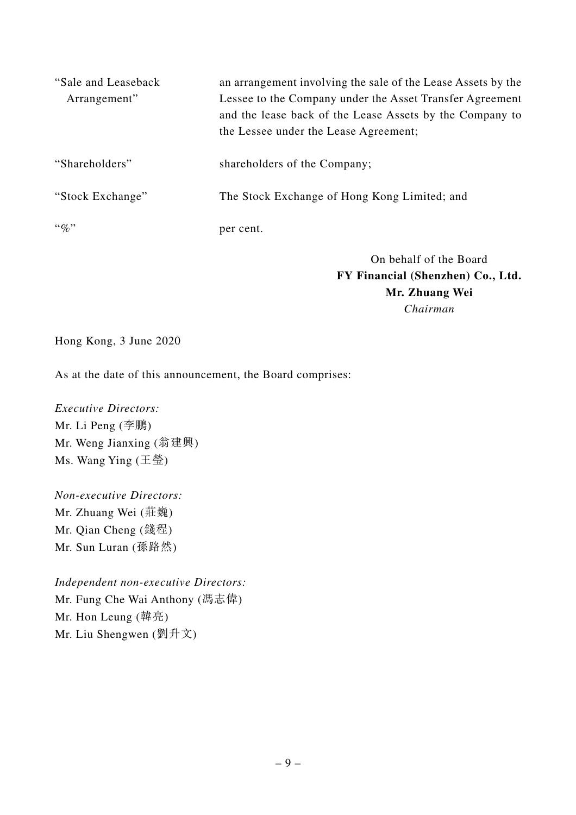| "Sale and Leaseback"<br>Arrangement" | an arrangement involving the sale of the Lease Assets by the<br>Lessee to the Company under the Asset Transfer Agreement<br>and the lease back of the Lease Assets by the Company to<br>the Lessee under the Lease Agreement; |
|--------------------------------------|-------------------------------------------------------------------------------------------------------------------------------------------------------------------------------------------------------------------------------|
| "Shareholders"                       | shareholders of the Company;                                                                                                                                                                                                  |
| "Stock Exchange"                     | The Stock Exchange of Hong Kong Limited; and                                                                                                                                                                                  |
| $\lq\lq q_0$ "                       | per cent.                                                                                                                                                                                                                     |

On behalf of the Board **FY Financial (Shenzhen) Co., Ltd. Mr. Zhuang Wei** *Chairman*

Hong Kong, 3 June 2020

As at the date of this announcement, the Board comprises:

*Executive Directors:* Mr. Li Peng (李鵬) Mr. Weng Jianxing (翁建興) Ms. Wang Ying (王瑩)

*Non-executive Directors:* Mr. Zhuang Wei (莊巍) Mr. Qian Cheng (錢程) Mr. Sun Luran (孫路然)

*Independent non-executive Directors:* Mr. Fung Che Wai Anthony (馮志偉) Mr. Hon Leung (韓亮) Mr. Liu Shengwen (劉升文)